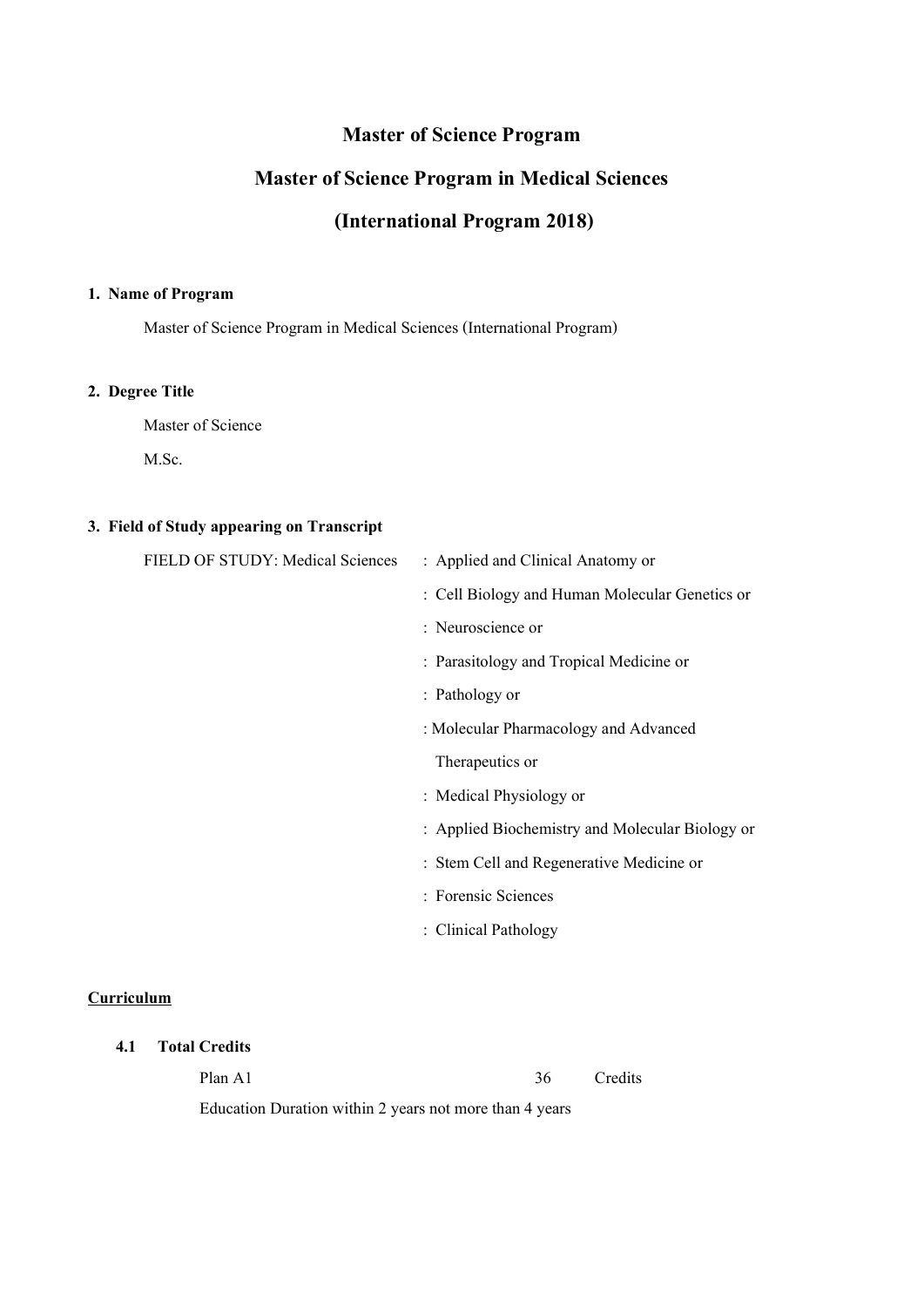# **Master of Science Program**

# **Master of Science Program in Medical Sciences**

# **(International Program 2018)**

#### **1. Name of Program**

Master of Science Program in Medical Sciences (International Program)

### **2. Degree Title**

Master of Science

M.Sc.

## **3. Field of Study appearing on Transcript**

| FIELD OF STUDY: Medical Sciences | : Applied and Clinical Anatomy or               |
|----------------------------------|-------------------------------------------------|
|                                  | : Cell Biology and Human Molecular Genetics or  |
|                                  | : Neuroscience or                               |
|                                  | : Parasitology and Tropical Medicine or         |
|                                  | : Pathology or                                  |
|                                  | : Molecular Pharmacology and Advanced           |
|                                  | Therapeutics or                                 |
|                                  | : Medical Physiology or                         |
|                                  | : Applied Biochemistry and Molecular Biology or |
|                                  | : Stem Cell and Regenerative Medicine or        |
|                                  | : Forensic Sciences                             |
|                                  | : Clinical Pathology                            |
|                                  |                                                 |

### **Curriculum**

## **4.1 Total Credits**

Plan A1 36 Credits

Education Duration within 2 years not more than 4 years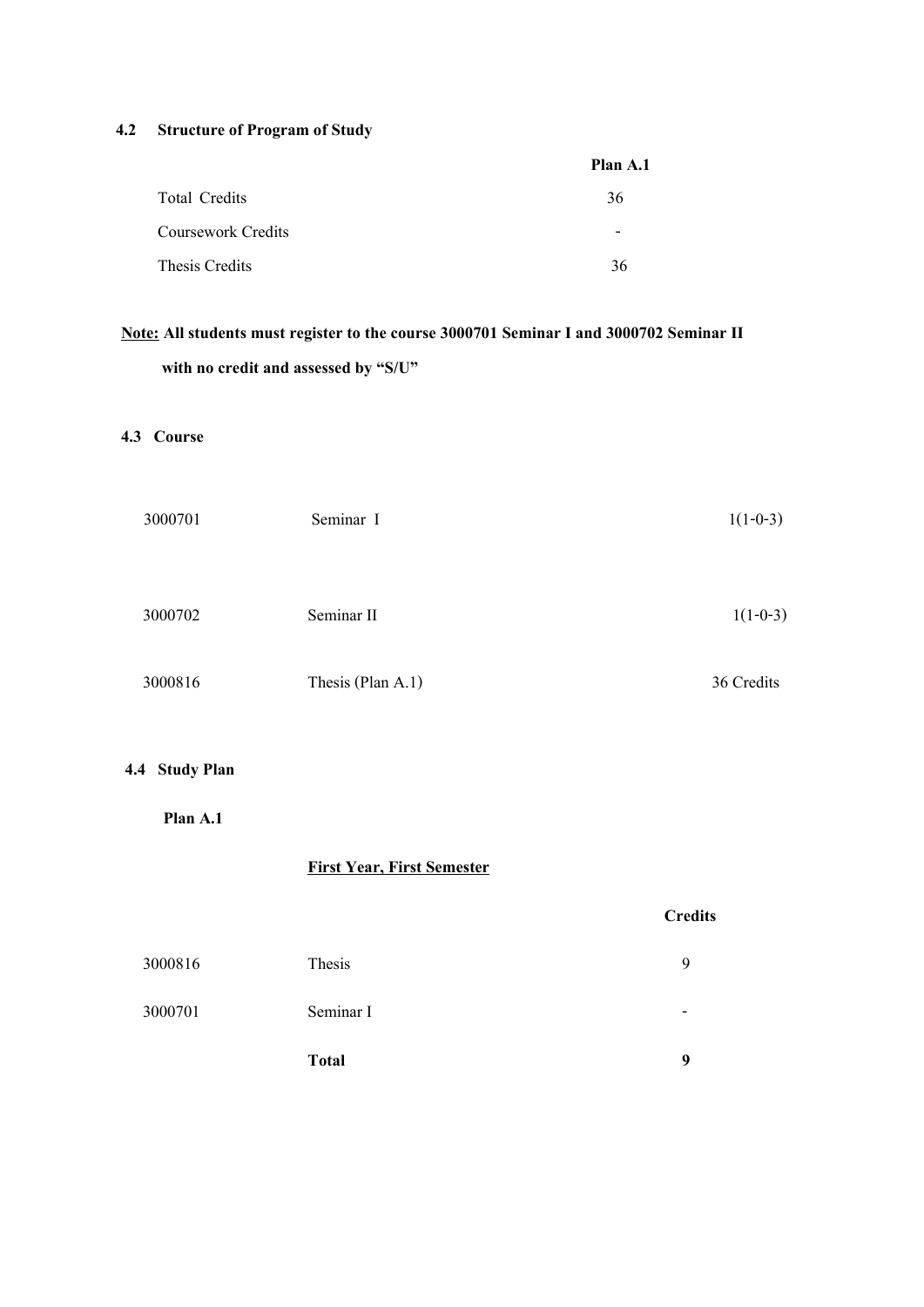## **4.2 Structure of Program of Study**

|                           | Plan A.1                 |
|---------------------------|--------------------------|
| <b>Total Credits</b>      | 36                       |
| <b>Coursework Credits</b> | $\overline{\phantom{0}}$ |
| Thesis Credits            | 36                       |

# **Note: All students must register to the course 3000701 Seminar Iand 3000702 Seminar II with no credit and assessed by "S/U"**

## **4.3 Course**

| 3000701 | Seminar I         | $1(1-0-3)$ |
|---------|-------------------|------------|
|         |                   |            |
| 3000702 | Seminar II        | $1(1-0-3)$ |
|         |                   |            |
| 3000816 | Thesis (Plan A.1) | 36 Credits |

## **4.4 Study Plan**

 **Plan A.1** 

## **First Year, First Semester**

# **Credits**

|         | <b>Total</b> | 9 |
|---------|--------------|---|
| 3000701 | Seminar I    |   |
| 3000816 | Thesis       | Ч |